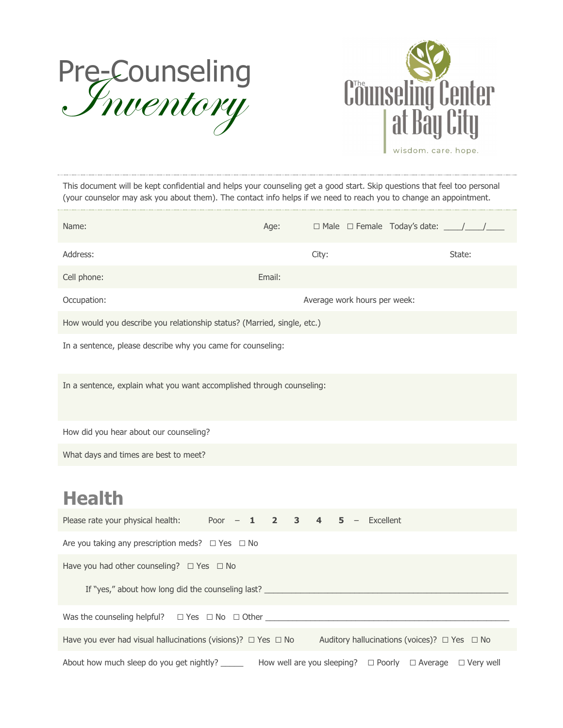



*This document will be kept confidential and helps your counseling get a good start. Skip questions that feel too personal (your counselor may ask you about them). The contact info helps if we need to reach you to change an appointment.*

| Name:                                                                             | Age:                |       |                              | $\Box$ Male $\Box$ Female Today's date: $\Box$ |        |
|-----------------------------------------------------------------------------------|---------------------|-------|------------------------------|------------------------------------------------|--------|
| Address:                                                                          |                     | City: |                              |                                                | State: |
| Cell phone:                                                                       | Email:              |       |                              |                                                |        |
| Occupation:                                                                       |                     |       | Average work hours per week: |                                                |        |
| How would you describe you relationship status? (Married, single, etc.)           |                     |       |                              |                                                |        |
| In a sentence, please describe why you came for counseling:                       |                     |       |                              |                                                |        |
| In a sentence, explain what you want accomplished through counseling:             |                     |       |                              |                                                |        |
| How did you hear about our counseling?                                            |                     |       |                              |                                                |        |
| What days and times are best to meet?                                             |                     |       |                              |                                                |        |
| <b>Health</b>                                                                     |                     |       |                              |                                                |        |
| Please rate your physical health: $Poor -$<br>$\mathbf{1}$                        | $\overline{2}$<br>3 |       | Excellent                    |                                                |        |
| Are you taking any prescription meds? $\Box$ Yes $\Box$ No                        |                     |       |                              |                                                |        |
| Have you had other counseling? $\Box$ Yes $\Box$ No                               |                     |       |                              |                                                |        |
| If "yes," about how long did the counseling last? _______________________________ |                     |       |                              |                                                |        |
|                                                                                   |                     |       |                              |                                                |        |
| Have you ever had visual hallucinations (visions)? $\Box$ Yes $\Box$ No           |                     |       |                              | Auditory hallucinations (voices)? □ Yes □ No   |        |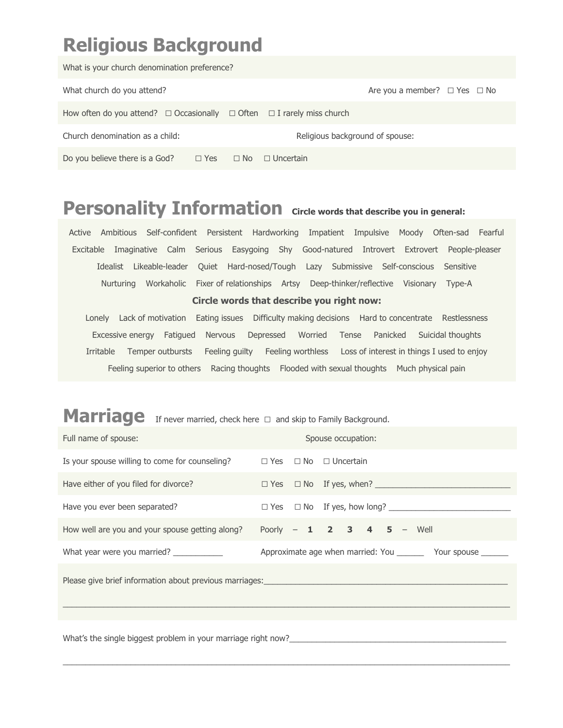# **Religious Background**

| What is your church denomination preference?                                          |                                        |  |  |  |  |  |  |
|---------------------------------------------------------------------------------------|----------------------------------------|--|--|--|--|--|--|
| What church do you attend?                                                            | Are you a member? $\Box$ Yes $\Box$ No |  |  |  |  |  |  |
| How often do you attend? $\Box$ Occasionally $\Box$ Often $\Box$ I rarely miss church |                                        |  |  |  |  |  |  |
| Church denomination as a child:                                                       | Religious background of spouse:        |  |  |  |  |  |  |
| Do you believe there is a God?<br>$\Box$ No<br>$\Box$ Yes                             | $\Box$ Uncertain                       |  |  |  |  |  |  |

### **Personality Information Circle words that describe you in general:**

Active Ambitious Self-confident Persistent Hardworking Impatient Impulsive Moody Often-sad Fearful Excitable Imaginative Calm Serious Easygoing Shy Good-natured Introvert Extrovert People-pleaser Idealist Likeable-leader Quiet Hard-nosed/Tough Lazy Submissive Self-conscious Sensitive Nurturing Workaholic Fixer of relationships Artsy Deep-thinker/reflective Visionary Type-A

#### **Circle words that describe you right now:**

Lonely Lack of motivation Eating issues Difficulty making decisions Hard to concentrate Restlessness Excessive energy Fatigued Nervous Depressed Worried Tense Panicked Suicidal thoughts Irritable Temper outbursts Feeling guilty Feeling worthless Loss of interest in things I used to enjoy Feeling superior to others Racing thoughts Flooded with sexual thoughts Much physical pain

#### Marriage If never married, check here  $\Box$  and skip to Family Background.

| Full name of spouse:                                                                 |  |  | Spouse occupation:                                                 |  |
|--------------------------------------------------------------------------------------|--|--|--------------------------------------------------------------------|--|
| Is your spouse willing to come for counseling? $\Box$ Yes $\Box$ No $\Box$ Uncertain |  |  |                                                                    |  |
| Have either of you filed for divorce?                                                |  |  |                                                                    |  |
| Have you ever been separated?                                                        |  |  |                                                                    |  |
| How well are you and your spouse getting along?                                      |  |  | Poorly - 1 2 3 4 5 - Well                                          |  |
| What year were you married? ___________                                              |  |  | Approximate age when married: You ___________ Your spouse ________ |  |
|                                                                                      |  |  |                                                                    |  |
| What's the single biggest problem in your marriage right now?                        |  |  |                                                                    |  |

 $\_$  , and the set of the set of the set of the set of the set of the set of the set of the set of the set of the set of the set of the set of the set of the set of the set of the set of the set of the set of the set of th